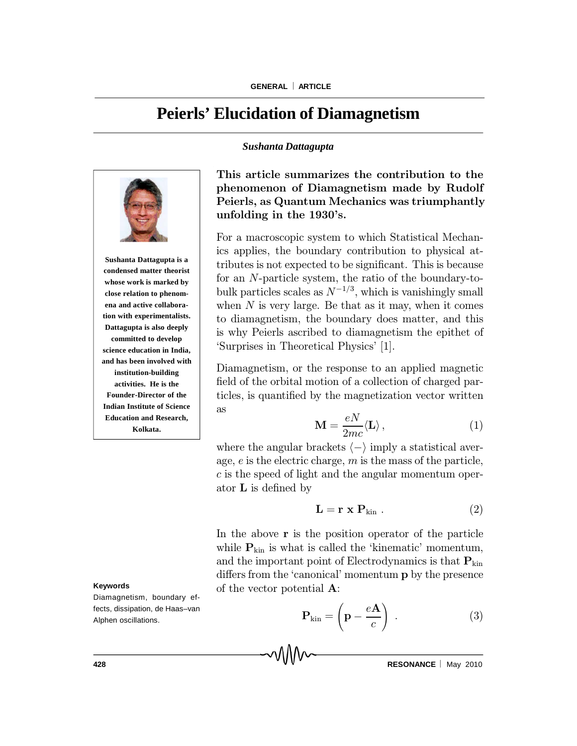# **Peierls' Elucidation of Diamagnetism**

*Sushanta Dattagupta*



**Sushanta Dattagupta is a condensed matter theorist whose work is marked by close relation to phenomena and active collaboration with experimentalists. Dattagupta is also deeply committed to develop science education in India, and has been involved with institution-building activities. He is the Founder-Director of the Indian Institute of Science Education and Research, Kolkata.**

## This article summarizes the contribution to the phenomenon of Diamagnetism made by Rudolf Peierls, as Quantum Mechanics was triumphantly unfolding in the 1930's.

For a macroscopic system to which Statistical Mechanics applies, the boundary contribution to physical attributes is not expected to be significant. This is because for an N-particle system, the ratio of the boundary-tobulk particles scales as  $N^{-1/3}$ , which is vanishingly small when  $N$  is very large. Be that as it may, when it comes to diamagnetism, the boundary does matter, and this is why Peierls ascribed to diamagnetism the epithet of `Surprises in Theoretical Physics' [1].

Diamagnetism, or the response to an applied magnetic field of the orbital motion of a collection of charged particles, is quantified by the magnetization vector written as

$$
\mathbf{M} = \frac{eN}{2mc} \langle \mathbf{L} \rangle , \qquad (1)
$$

where the angular brackets  $\langle - \rangle$  imply a statistical average,  $e$  is the electric charge,  $m$  is the mass of the particle, c is the speed of light and the angular momentum operator  $L$  is defined by

$$
\mathbf{L} = \mathbf{r} \times \mathbf{P}_{\text{kin}} . \tag{2}
$$

In the above  $r$  is the position operator of the particle while  $P_{kin}$  is what is called the 'kinematic' momentum, and the important point of Electrodynamics is that  $P_{kin}$ differs from the 'canonical' momentum **p** by the presence of the vector potential A:

$$
\mathbf{P}_{\text{kin}} = \left(\mathbf{p} - \frac{e\mathbf{A}}{c}\right) . \tag{3}
$$

#### **Keywords**

Diamagnetism, boundary effects, dissipation, de Haas–van Alphen oscillations.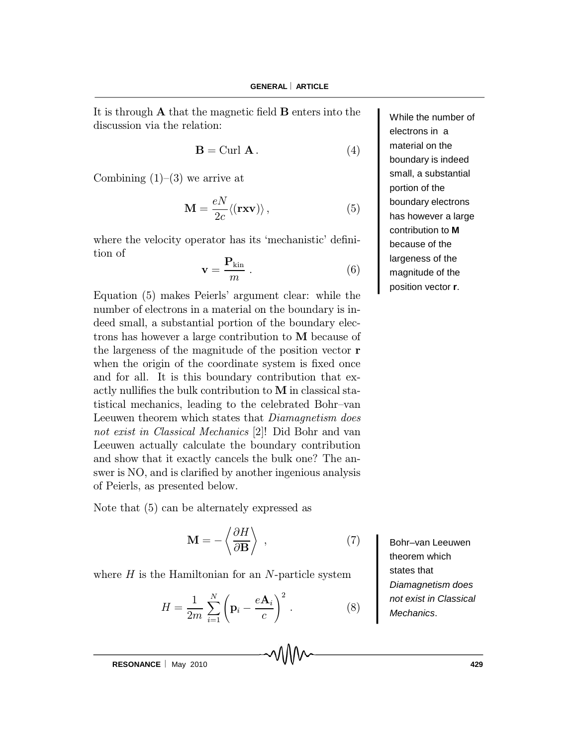It is through  $A$  that the magnetic field  $B$  enters into the discussion via the relation:

$$
\mathbf{B} = \text{Curl } \mathbf{A} \,. \tag{4}
$$

Combining  $(1)-(3)$  we arrive at

$$
\mathbf{M} = \frac{eN}{2c} \langle (\mathbf{r}\mathbf{x}\mathbf{v}) \rangle, \qquad (5)
$$

where the velocity operator has its 'mechanistic' definition of

$$
\mathbf{v} = \frac{\mathbf{P}_{\text{kin}}}{m} \,. \tag{6}
$$

Equation (5) makes Peierls' argument clear: while the number of electrons in a material on the boundary is indeed small, a substantial portion of the boundary electrons has however a large contribution to M because of the largeness of the magnitude of the position vector r when the origin of the coordinate system is fixed once and for all. It is this boundary contribution that exactly nullifies the bulk contribution to  $M$  in classical statistical mechanics, leading to the celebrated Bohr-van Leeuwen theorem which states that Diamagnetism does not exist in Classical Mechanics [2]! Did Bohr and van Leeuwen actually calculate the boundary contribution and show that it exactly cancels the bulk one? The answer is NO, and is clarified by another ingenious analysis of Peierls, as presented below.

Note that (5) can be alternately expressed as

$$
\mathbf{M} = -\left\langle \frac{\partial H}{\partial \mathbf{B}} \right\rangle , \qquad (7)
$$

where  $H$  is the Hamiltonian for an  $N$ -particle system

$$
H = \frac{1}{2m} \sum_{i=1}^{N} \left( \mathbf{p}_i - \frac{e \mathbf{A}_i}{c} \right)^2.
$$
 (8)

While the number of electrons in a material on the boundary is indeed small, a substantial portion of the boundary electrons has however a large contribution to **M** because of the largeness of the magnitude of the position vector **r**.

Bohr–van Leeuwen theorem which states that *Diamagnetism does not exist in Classical Mechanics*.

**RESONANCE** | May 2010 **129**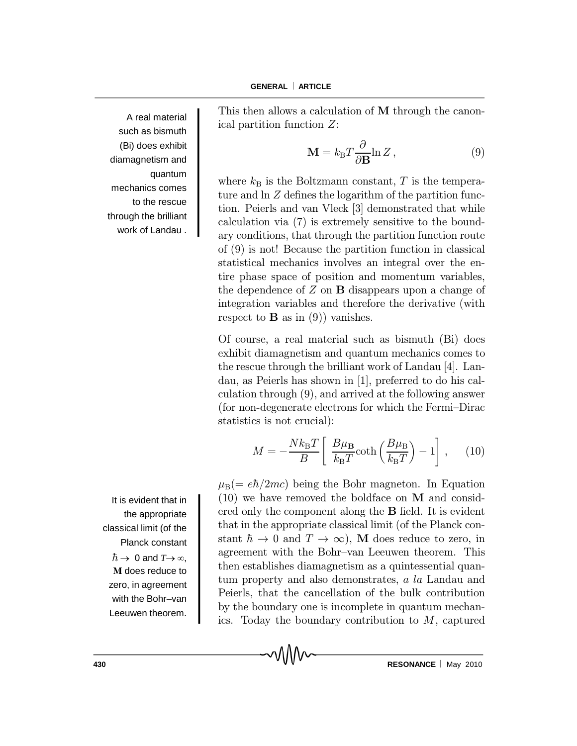A real material such as bismuth (Bi) does exhibit diamagnetism and quantum mechanics comes to the rescue through the brilliant work of Landau .

This then allows a calculation of M through the canonical partition function Z:

$$
\mathbf{M} = k_{\rm B} T \frac{\partial}{\partial \mathbf{B}} \ln Z \,, \tag{9}
$$

where  $k_B$  is the Boltzmann constant, T is the temperature and  $\ln Z$  defines the logarithm of the partition function. Peierls and van Vleck [3] demonstrated that while calculation via (7) is extremely sensitive to the boundary conditions, that through the partition function route of (9) is not! Because the partition function in classical statistical mechanics involves an integral over the entire phase space of position and momentum variables, the dependence of  $Z$  on  $B$  disappears upon a change of integration variables and therefore the derivative (with respect to **B** as in  $(9)$  vanishes.

Of course, a real material such as bismuth (Bi) does exhibit diamagnetism and quantum mechanics comes to the rescue through the brilliant work of Landau [4]. Landau, as Peierls has shown in [1], preferred to do his calculation through (9), and arrived at the following answer (for non-degenerate electrons for which the Fermi-Dirac statistics is not crucial):

$$
M = -\frac{Nk_{\rm B}T}{B} \left[ \frac{B\mu_{\rm B}}{k_{\rm B}T} \coth\left(\frac{B\mu_{\rm B}}{k_{\rm B}T}\right) - 1 \right], \quad (10)
$$

 $\mu_{\rm B} (= e\hbar/2mc)$  being the Bohr magneton. In Equation (10) we have removed the boldface on M and considered only the component along the  $B$  field. It is evident that in the appropriate classical limit (of the Planck constant  $\hbar \to 0$  and  $T \to \infty$ ), M does reduce to zero, in agreement with the Bohr-van Leeuwen theorem. This then establishes diamagnetism as a quintessential quantum property and also demonstrates, a la Landau and Peierls, that the cancellation of the bulk contribution by the boundary one is incomplete in quantum mechanics. Today the boundary contribution to  $M$ , captured

It is evident that in the appropriate classical limit (of the Planck constant  $\hbar \rightarrow 0$  and  $T \rightarrow \infty$ , **M** does reduce to zero, in agreement with the Bohr–van Leeuwen theorem.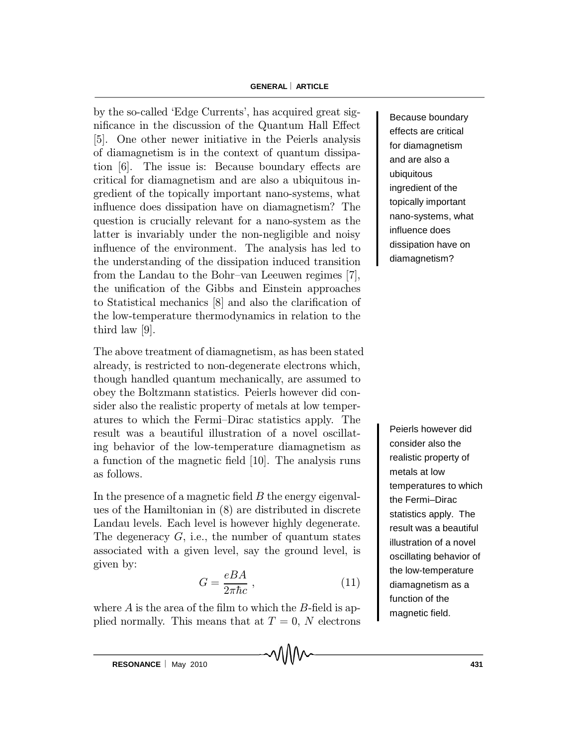### **GENERAL ARTICLE**

by the so-called `Edge Currents', has acquired great significance in the discussion of the Quantum Hall Effect [5]. One other newer initiative in the Peierls analysis of diamagnetism is in the context of quantum dissipation [6]. The issue is: Because boundary effects are critical for diamagnetism and are also a ubiquitous ingredient of the topically important nano-systems, what influence does dissipation have on diamagnetism? The question is crucially relevant for a nano-system as the latter is invariably under the non-negligible and noisy influence of the environment. The analysis has led to the understanding of the dissipation induced transition from the Landau to the Bohr-van Leeuwen regimes  $[7]$ , the unification of the Gibbs and Einstein approaches to Statistical mechanics  $[8]$  and also the clarification of the low-temperature thermodynamics in relation to the third law [9].

The above treatment of diamagnetism, as has been stated already, is restricted to non-degenerate electrons which, though handled quantum mechanically, are assumed to obey the Boltzmann statistics. Peierls however did consider also the realistic property of metals at low temperatures to which the Fermi-Dirac statistics apply. The result was a beautiful illustration of a novel oscillating behavior of the low-temperature diamagnetism as a function of the magnetic field  $[10]$ . The analysis runs as follows.

In the presence of a magnetic field  $B$  the energy eigenvalues of the Hamiltonian in (8) are distributed in discrete Landau levels. Each level is however highly degenerate. The degeneracy  $G$ , i.e., the number of quantum states associated with a given level, say the ground level, is given by:

$$
G = \frac{eBA}{2\pi\hbar c} \,,\tag{11}
$$

where  $A$  is the area of the film to which the  $B$ -field is applied normally. This means that at  $T = 0$ , N electrons

Because boundary effects are critical for diamagnetism and are also a ubiquitous ingredient of the topically important nano-systems, what influence does dissipation have on diamagnetism?

Peierls however did consider also the realistic property of metals at low temperatures to which the Fermi–Dirac statistics apply. The result was a beautiful illustration of a novel oscillating behavior of the low-temperature diamagnetism as a function of the magnetic field.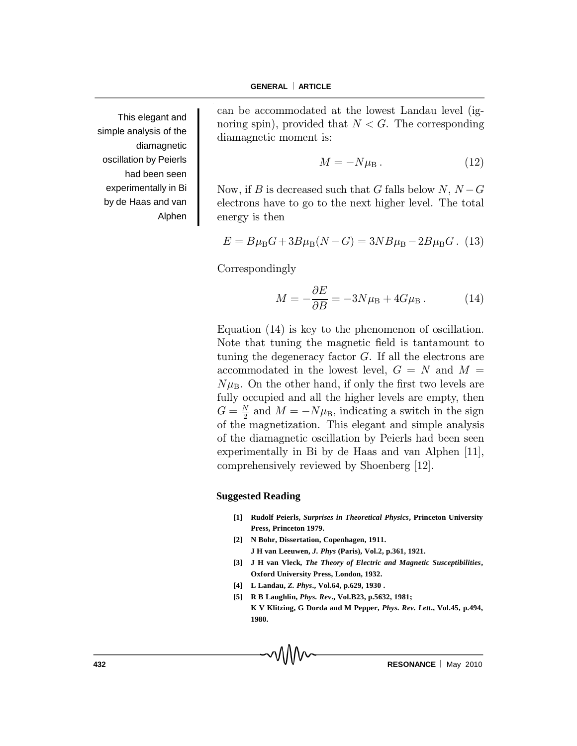This elegant and simple analysis of the diamagnetic oscillation by Peierls had been seen experimentally in Bi by de Haas and van Alphen

can be accommodated at the lowest Landau level (ignoring spin), provided that  $N < G$ . The corresponding diamagnetic moment is:

$$
M = -N\muB \tag{12}
$$

Now, if B is decreased such that G falls below N,  $N-G$ electrons have to go to the next higher level. The total energy is then

$$
E = B\mu_{\rm B}G + 3B\mu_{\rm B}(N - G) = 3NB\mu_{\rm B} - 2B\mu_{\rm B}G.
$$
 (13)

Correspondingly

$$
M = -\frac{\partial E}{\partial B} = -3N\mu_{\rm B} + 4G\mu_{\rm B} \,. \tag{14}
$$

Equation (14) is key to the phenomenon of oscillation. Note that tuning the magnetic field is tantamount to tuning the degeneracy factor  $G$ . If all the electrons are accommodated in the lowest level,  $G = N$  and  $M =$  $N\mu_{\rm B}$ . On the other hand, if only the first two levels are fully occupied and all the higher levels are empty, then  $G = \frac{N}{2}$  and  $M = -N\mu_{\rm B}$ , indicating a switch in the sign of the magnetization. This elegant and simple analysis of the diamagnetic oscillation by Peierls had been seen experimentally in Bi by de Haas and van Alphen [11], comprehensively reviewed by Shoenberg [12].

#### **Suggested Reading**

- **[1] Rudolf Peierls,** *Surprises in Theoretical Physics***, Princeton University Press, Princeton 1979.**
- **[2] N Bohr, Dissertation, Copenhagen, 1911. J H van Leeuwen,** *J. Phys* **(Paris), Vol.2, p.361, 1921.**
- **[3] J H van Vleck,** *The Theory of Electric and Magnetic Susceptibilities***, Oxford University Press, London, 1932.**
- **[4] L Landau,** *Z. Phys***., Vol.64, p.629, 1930 .**
- **[5] R B Laughlin,** *Phys. Rev***., Vol.B23, p.5632, 1981; K V Klitzing, G Dorda and M Pepper,** *Phys. Rev. Lett***., Vol.45, p.494, 1980.**